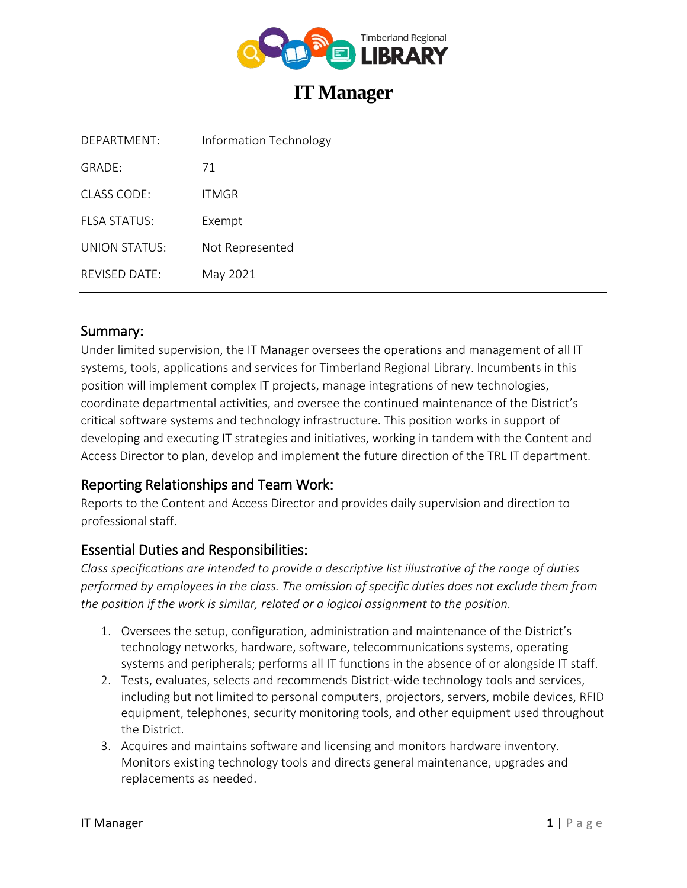

# **IT Manager**

| DEPARTMENT:   | <b>Information Technology</b> |
|---------------|-------------------------------|
| GRADE:        | 71                            |
| CLASS CODE:   | ITMGR                         |
| FLSA STATUS:  | Exempt                        |
| UNION STATUS: | Not Represented               |
| REVISED DATE: | May 2021                      |

#### Summary:

Under limited supervision, the IT Manager oversees the operations and management of all IT systems, tools, applications and services for Timberland Regional Library. Incumbents in this position will implement complex IT projects, manage integrations of new technologies, coordinate departmental activities, and oversee the continued maintenance of the District's critical software systems and technology infrastructure. This position works in support of developing and executing IT strategies and initiatives, working in tandem with the Content and Access Director to plan, develop and implement the future direction of the TRL IT department.

### Reporting Relationships and Team Work:

Reports to the Content and Access Director and provides daily supervision and direction to professional staff.

### Essential Duties and Responsibilities:

*Class specifications are intended to provide a descriptive list illustrative of the range of duties performed by employees in the class. The omission of specific duties does not exclude them from the position if the work is similar, related or a logical assignment to the position.*

- 1. Oversees the setup, configuration, administration and maintenance of the District's technology networks, hardware, software, telecommunications systems, operating systems and peripherals; performs all IT functions in the absence of or alongside IT staff.
- 2. Tests, evaluates, selects and recommends District-wide technology tools and services, including but not limited to personal computers, projectors, servers, mobile devices, RFID equipment, telephones, security monitoring tools, and other equipment used throughout the District.
- 3. Acquires and maintains software and licensing and monitors hardware inventory. Monitors existing technology tools and directs general maintenance, upgrades and replacements as needed.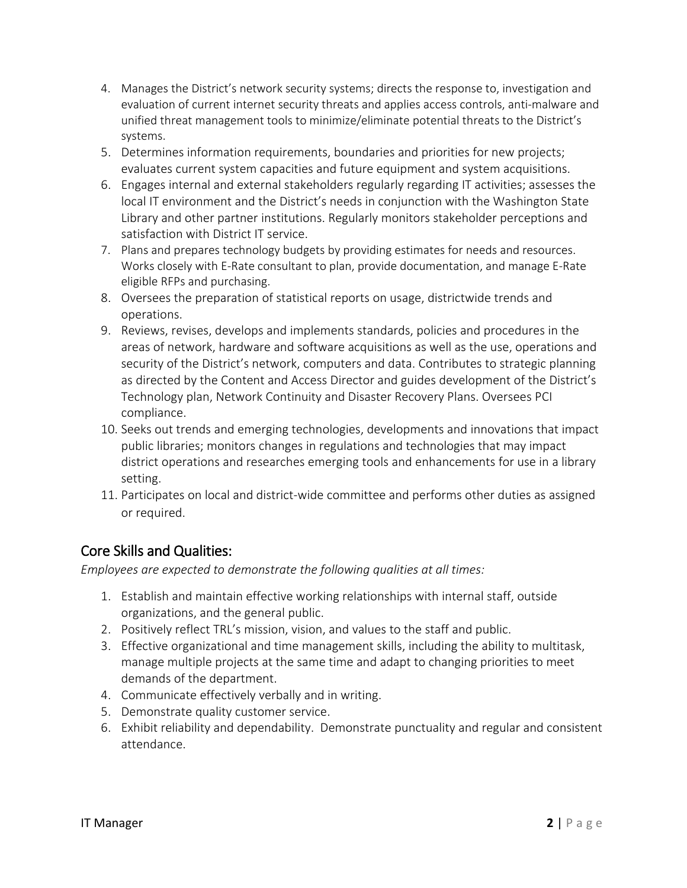- 4. Manages the District's network security systems; directs the response to, investigation and evaluation of current internet security threats and applies access controls, anti-malware and unified threat management tools to minimize/eliminate potential threats to the District's systems.
- 5. Determines information requirements, boundaries and priorities for new projects; evaluates current system capacities and future equipment and system acquisitions.
- 6. Engages internal and external stakeholders regularly regarding IT activities; assesses the local IT environment and the District's needs in conjunction with the Washington State Library and other partner institutions. Regularly monitors stakeholder perceptions and satisfaction with District IT service.
- 7. Plans and prepares technology budgets by providing estimates for needs and resources. Works closely with E-Rate consultant to plan, provide documentation, and manage E-Rate eligible RFPs and purchasing.
- 8. Oversees the preparation of statistical reports on usage, districtwide trends and operations.
- 9. Reviews, revises, develops and implements standards, policies and procedures in the areas of network, hardware and software acquisitions as well as the use, operations and security of the District's network, computers and data. Contributes to strategic planning as directed by the Content and Access Director and guides development of the District's Technology plan, Network Continuity and Disaster Recovery Plans. Oversees PCI compliance.
- 10. Seeks out trends and emerging technologies, developments and innovations that impact public libraries; monitors changes in regulations and technologies that may impact district operations and researches emerging tools and enhancements for use in a library setting.
- 11. Participates on local and district-wide committee and performs other duties as assigned or required.

## Core Skills and Qualities:

*Employees are expected to demonstrate the following qualities at all times:*

- 1. Establish and maintain effective working relationships with internal staff, outside organizations, and the general public.
- 2. Positively reflect TRL's mission, vision, and values to the staff and public.
- 3. Effective organizational and time management skills, including the ability to multitask, manage multiple projects at the same time and adapt to changing priorities to meet demands of the department.
- 4. Communicate effectively verbally and in writing.
- 5. Demonstrate quality customer service.
- 6. Exhibit reliability and dependability. Demonstrate punctuality and regular and consistent attendance.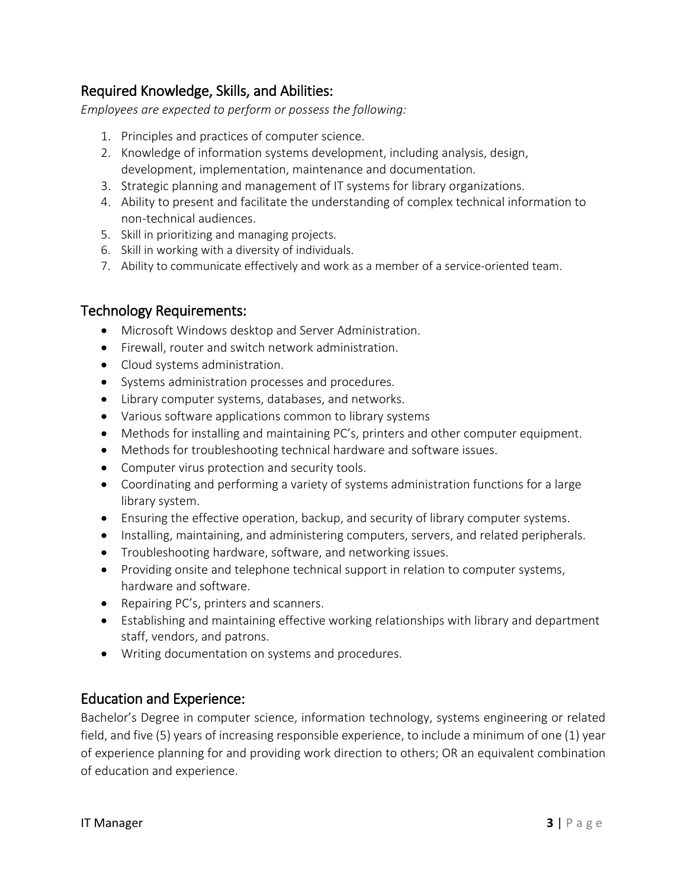## Required Knowledge, Skills, and Abilities:

*Employees are expected to perform or possess the following:*

- 1. Principles and practices of computer science.
- 2. Knowledge of information systems development, including analysis, design, development, implementation, maintenance and documentation.
- 3. Strategic planning and management of IT systems for library organizations.
- 4. Ability to present and facilitate the understanding of complex technical information to non-technical audiences.
- 5. Skill in prioritizing and managing projects.
- 6. Skill in working with a diversity of individuals.
- 7. Ability to communicate effectively and work as a member of a service-oriented team.

#### Technology Requirements:

- Microsoft Windows desktop and Server Administration.
- Firewall, router and switch network administration.
- Cloud systems administration.
- Systems administration processes and procedures.
- Library computer systems, databases, and networks.
- Various software applications common to library systems
- Methods for installing and maintaining PC's, printers and other computer equipment.
- Methods for troubleshooting technical hardware and software issues.
- Computer virus protection and security tools.
- Coordinating and performing a variety of systems administration functions for a large library system.
- Ensuring the effective operation, backup, and security of library computer systems.
- Installing, maintaining, and administering computers, servers, and related peripherals.
- Troubleshooting hardware, software, and networking issues.
- Providing onsite and telephone technical support in relation to computer systems, hardware and software.
- Repairing PC's, printers and scanners.
- Establishing and maintaining effective working relationships with library and department staff, vendors, and patrons.
- Writing documentation on systems and procedures.

### Education and Experience:

Bachelor's Degree in computer science, information technology, systems engineering or related field, and five (5) years of increasing responsible experience, to include a minimum of one (1) year of experience planning for and providing work direction to others; OR an equivalent combination of education and experience.